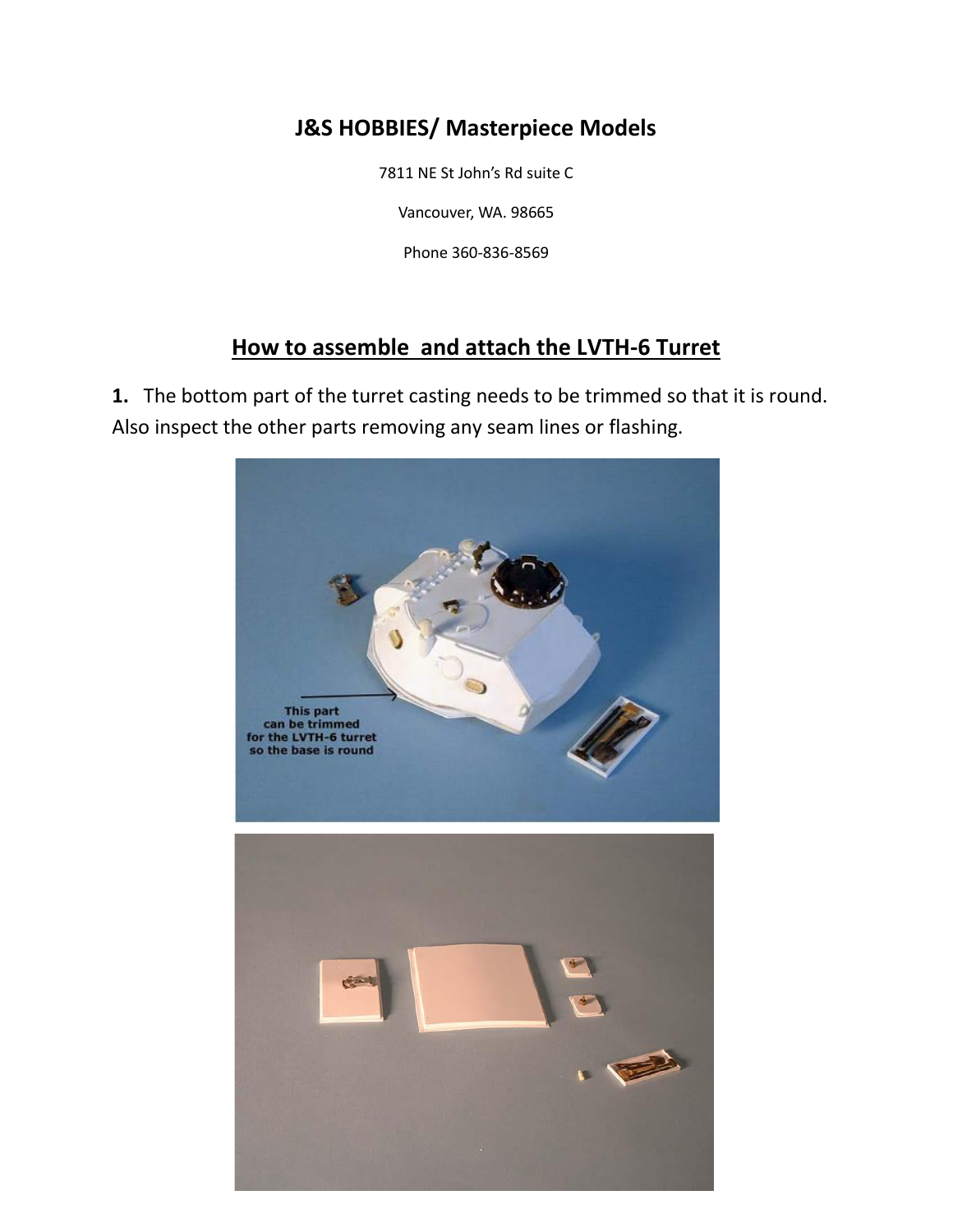## **J&S HOBBIES/ Masterpiece Models**

7811 NE St John's Rd suite C

Vancouver, WA. 98665

Phone 360-836-8569

## **How to assemble and attach the LVTH-6 Turret**

**1.** The bottom part of the turret casting needs to be trimmed so that it is round. Also inspect the other parts removing any seam lines or flashing.

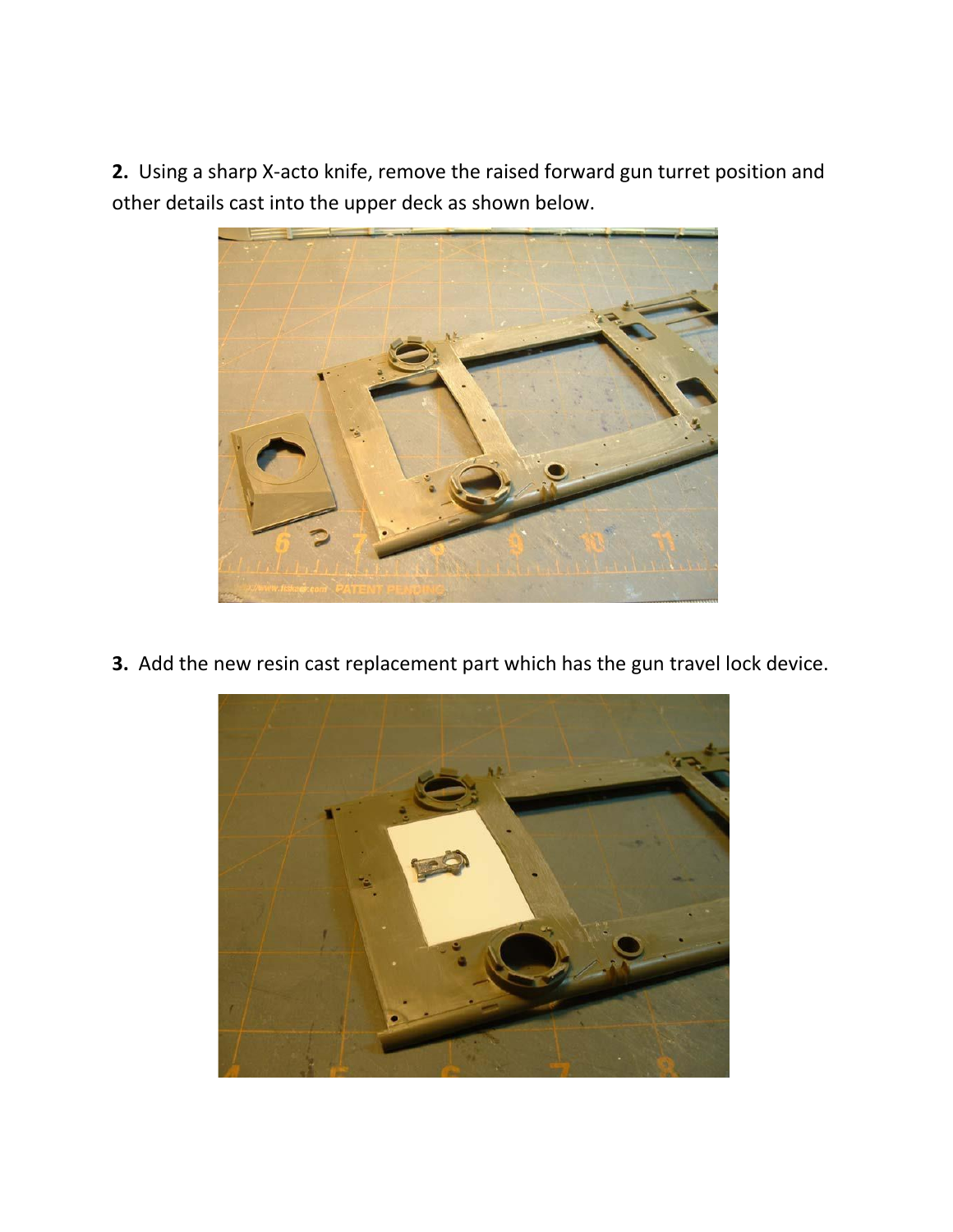**2.** Using a sharp X-acto knife, remove the raised forward gun turret position and other details cast into the upper deck as shown below.



**3.** Add the new resin cast replacement part which has the gun travel lock device.

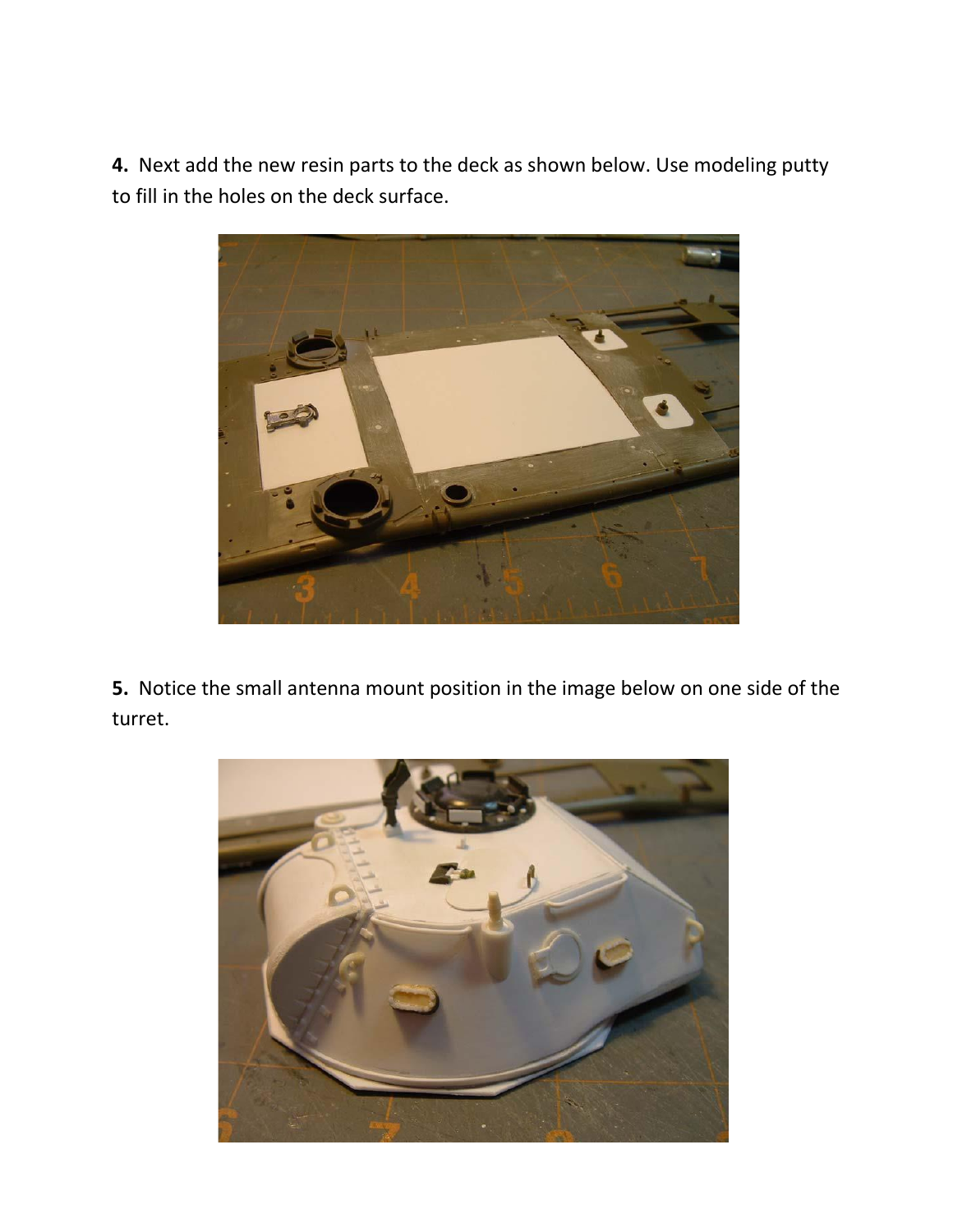**4.** Next add the new resin parts to the deck as shown below. Use modeling putty to fill in the holes on the deck surface.



**5.** Notice the small antenna mount position in the image below on one side of the turret.

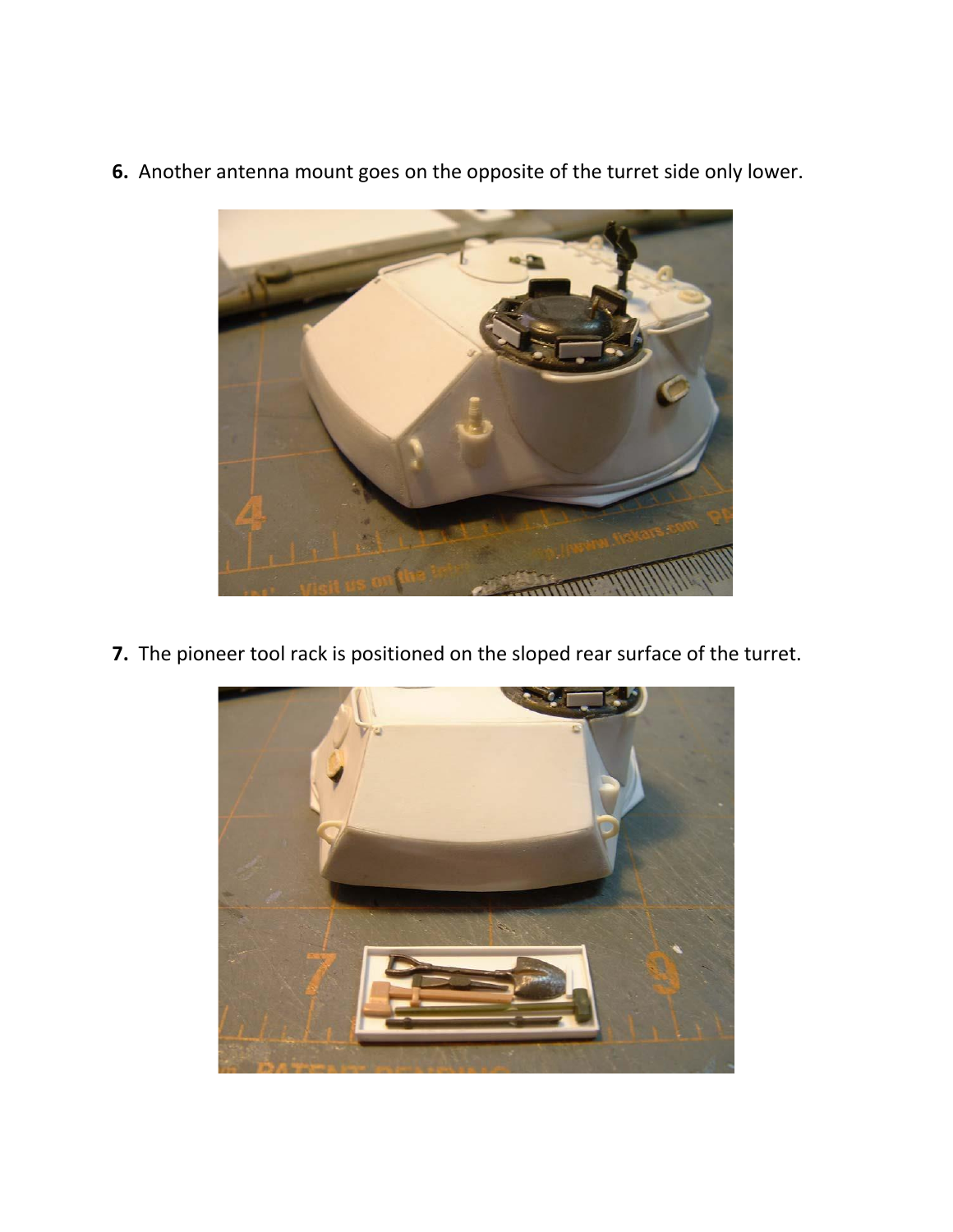

**6.** Another antenna mount goes on the opposite of the turret side only lower.

**7.** The pioneer tool rack is positioned on the sloped rear surface of the turret.

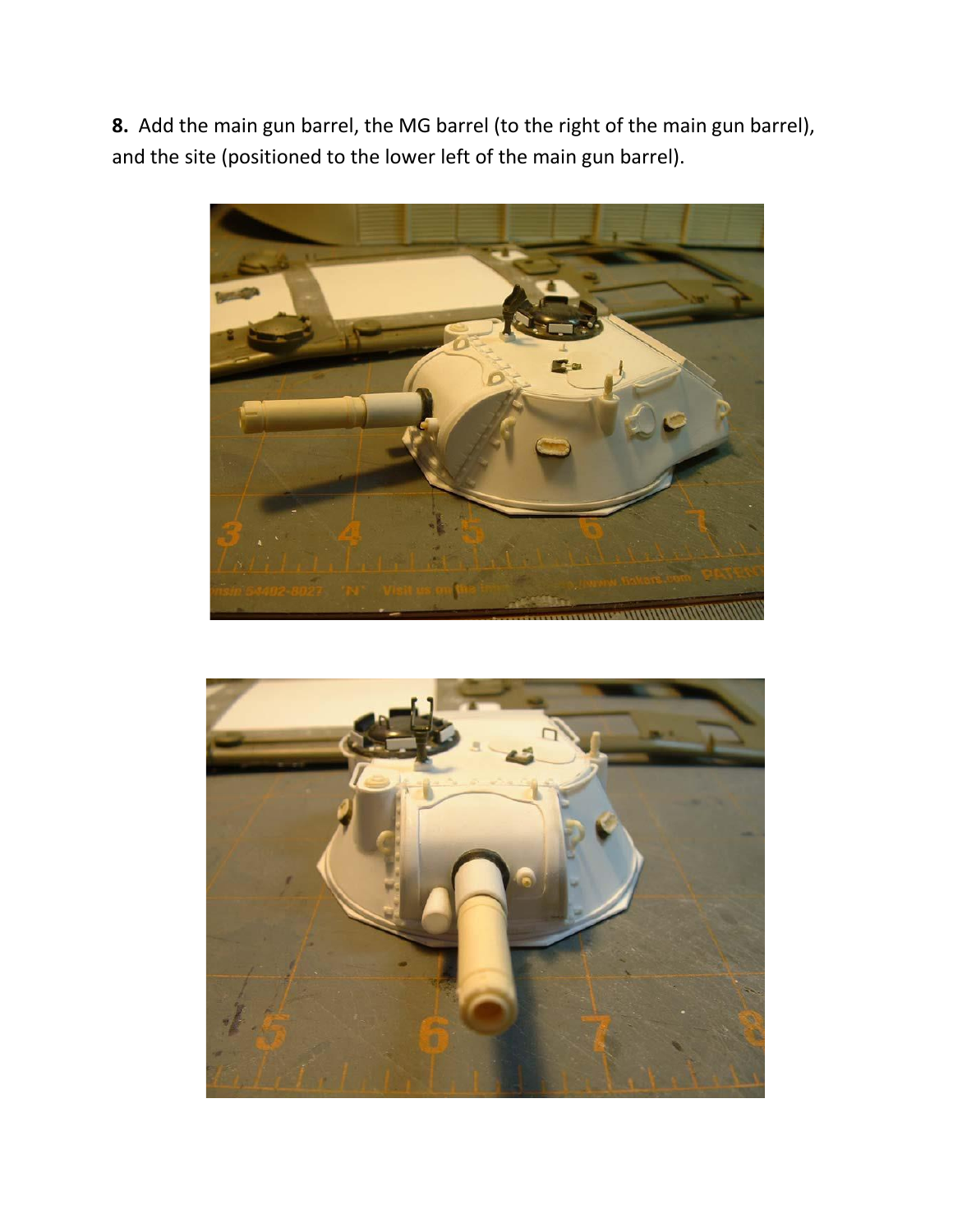**8.** Add the main gun barrel, the MG barrel (to the right of the main gun barrel), and the site (positioned to the lower left of the main gun barrel).



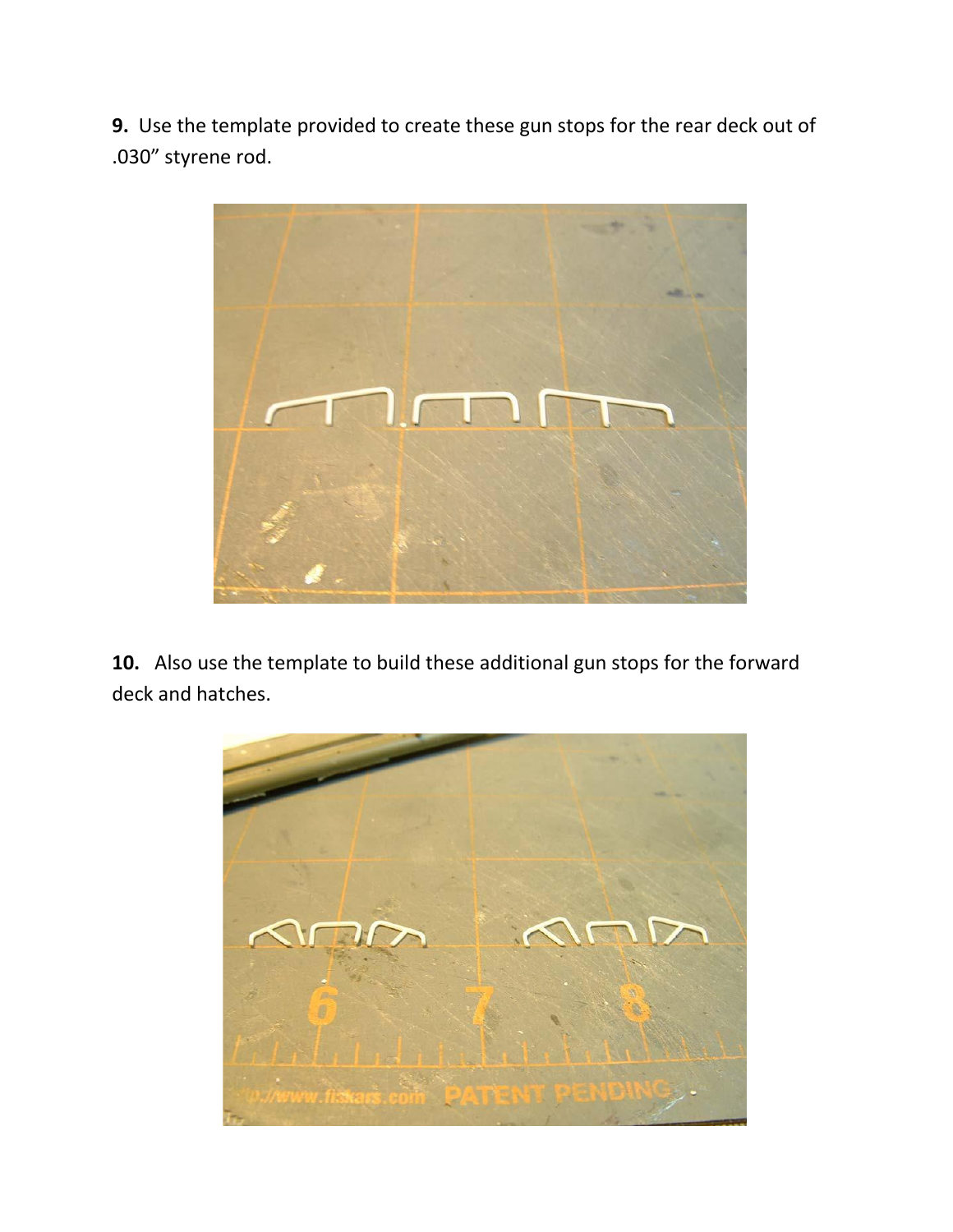**9.** Use the template provided to create these gun stops for the rear deck out of .030" styrene rod.



**10.** Also use the template to build these additional gun stops for the forward deck and hatches.

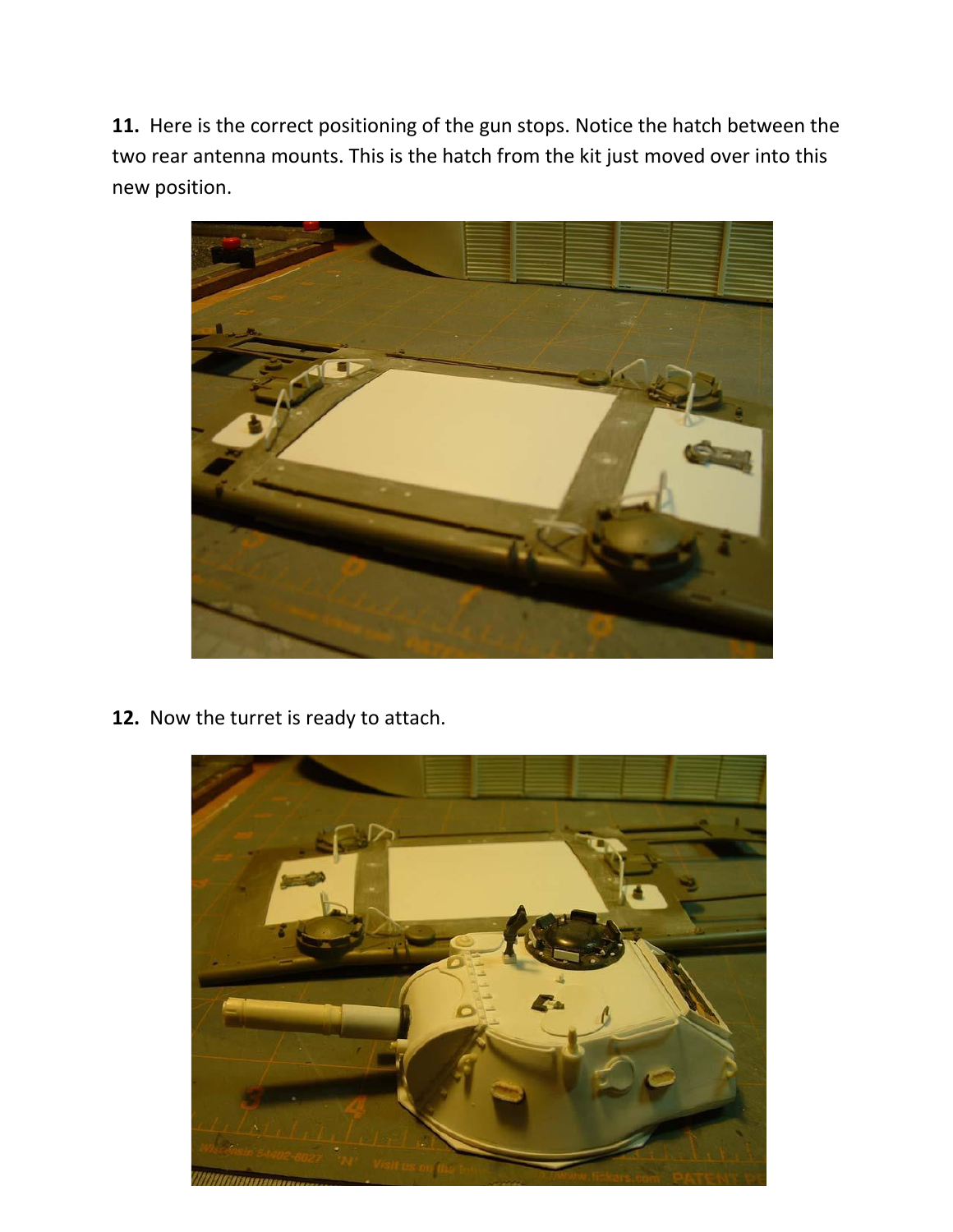**11.** Here is the correct positioning of the gun stops. Notice the hatch between the two rear antenna mounts. This is the hatch from the kit just moved over into this new position.



**12.** Now the turret is ready to attach.

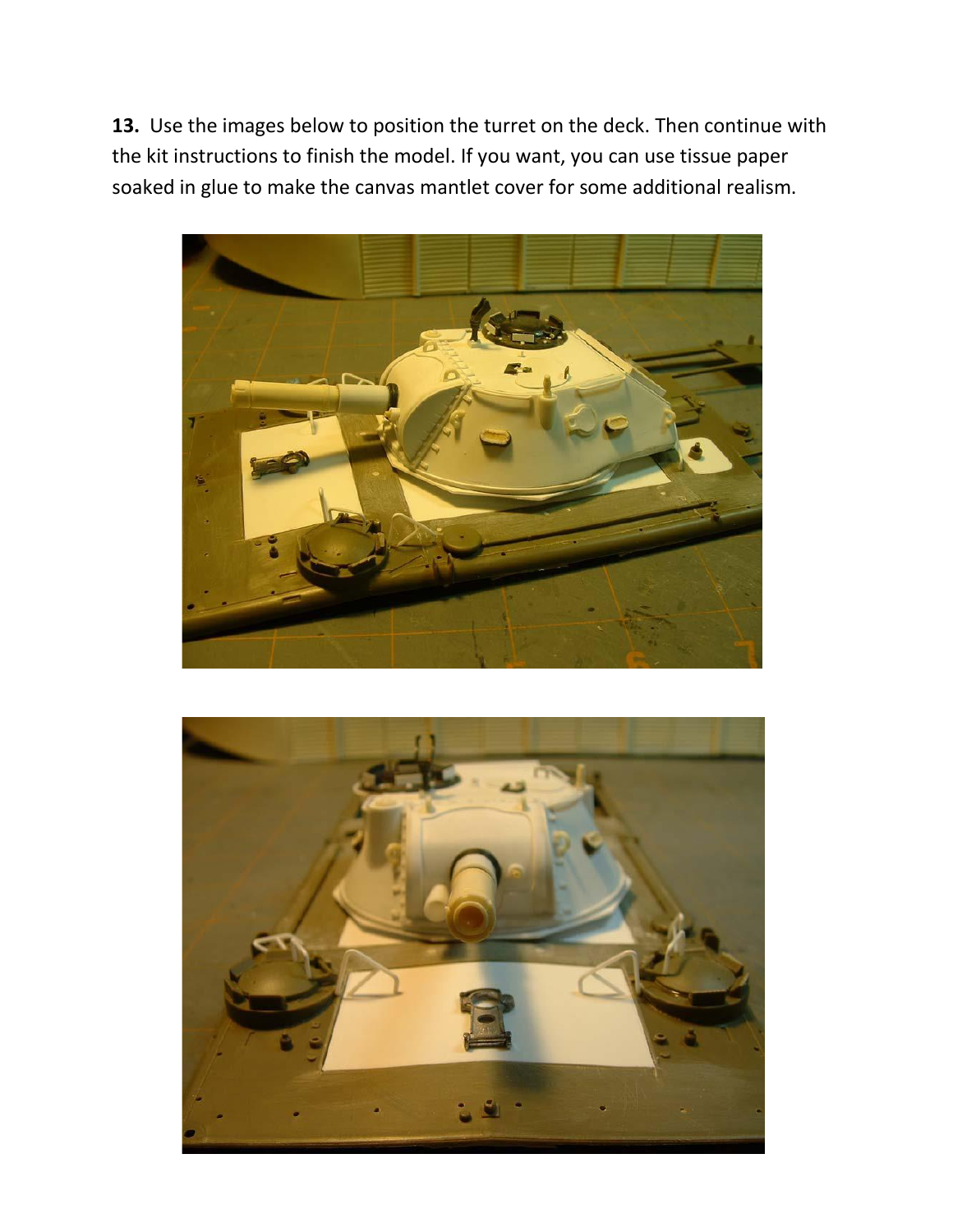**13.** Use the images below to position the turret on the deck. Then continue with the kit instructions to finish the model. If you want, you can use tissue paper soaked in glue to make the canvas mantlet cover for some additional realism.